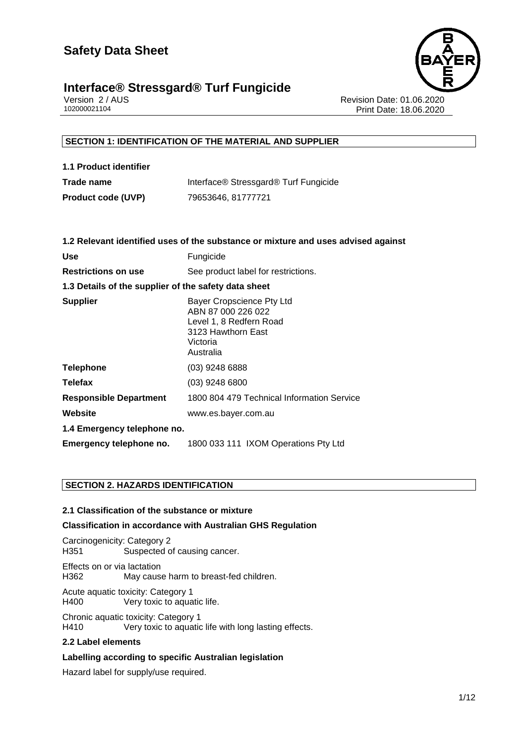



Version 2 / AUS Revision Date: 01.06.2020 Print Date: 18.06.2020

# **SECTION 1: IDENTIFICATION OF THE MATERIAL AND SUPPLIER**

**1.1 Product identifier Trade name** Interface® Stressgard® Turf Fungicide

**Product code (UVP)** 79653646, 81777721

|                                                      | 1.2 Relevant identified uses of the substance or mixture and uses advised against                                         |  |
|------------------------------------------------------|---------------------------------------------------------------------------------------------------------------------------|--|
| Use                                                  | Fungicide                                                                                                                 |  |
| <b>Restrictions on use</b>                           | See product label for restrictions.                                                                                       |  |
| 1.3 Details of the supplier of the safety data sheet |                                                                                                                           |  |
| <b>Supplier</b>                                      | Bayer Cropscience Pty Ltd<br>ABN 87 000 226 022<br>Level 1, 8 Redfern Road<br>3123 Hawthorn East<br>Victoria<br>Australia |  |
| Telephone                                            | (03) 9248 6888                                                                                                            |  |
| <b>Telefax</b>                                       | $(03)$ 9248 6800                                                                                                          |  |
| <b>Responsible Department</b>                        | 1800 804 479 Technical Information Service                                                                                |  |
| Website                                              | www.es.bayer.com.au                                                                                                       |  |
| 1.4 Emergency telephone no.                          |                                                                                                                           |  |
| Emergency telephone no.                              | 1800 033 111 IXOM Operations Pty Ltd                                                                                      |  |
|                                                      |                                                                                                                           |  |

# **SECTION 2. HAZARDS IDENTIFICATION**

#### **2.1 Classification of the substance or mixture**

#### **Classification in accordance with Australian GHS Regulation**

Carcinogenicity: Category 2 H351 Suspected of causing cancer.

Effects on or via lactation<br>H362 May cause May cause harm to breast-fed children.

Acute aquatic toxicity: Category 1 H400 Very toxic to aquatic life.

Chronic aquatic toxicity: Category 1 H410 Very toxic to aquatic life with long lasting effects.

#### **2.2 Label elements**

#### **Labelling according to specific Australian legislation**

Hazard label for supply/use required.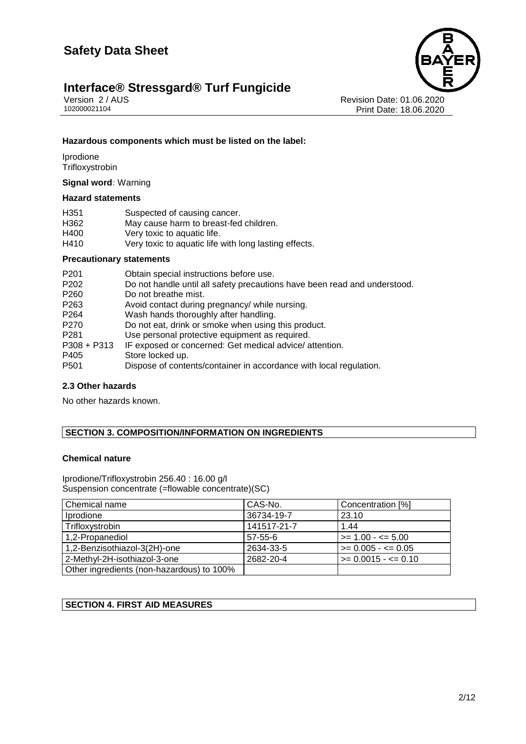# **Interface® Stressgard® Turf Fungicide**<br>Version 2/AUS





Version 2 / AUS<br>102000021104<br>Print Date: 18.06.2020 Print Date: 18.06.2020

# **Hazardous components which must be listed on the label:**

**Iprodione Trifloxystrobin** 

**Signal word:** Warning

#### **Hazard statements**

| H351 | Suspected of causing cancer.                          |
|------|-------------------------------------------------------|
| H362 | May cause harm to breast-fed children.                |
| H400 | Very toxic to aquatic life.                           |
| H410 | Very toxic to aquatic life with long lasting effects. |

### **Precautionary statements**

| P201             | Obtain special instructions before use.                                   |
|------------------|---------------------------------------------------------------------------|
| P <sub>202</sub> | Do not handle until all safety precautions have been read and understood. |
| P <sub>260</sub> | Do not breathe mist.                                                      |
| P <sub>263</sub> | Avoid contact during pregnancy/ while nursing.                            |
| P <sub>264</sub> | Wash hands thoroughly after handling.                                     |
| P270             | Do not eat, drink or smoke when using this product.                       |
| P281             | Use personal protective equipment as required.                            |
| P308 + P313      | IF exposed or concerned: Get medical advice/attention.                    |
| P405             | Store locked up.                                                          |
| P501             | Dispose of contents/container in accordance with local regulation.        |
|                  |                                                                           |

# **2.3 Other hazards**

No other hazards known.

# **SECTION 3. COMPOSITION/INFORMATION ON INGREDIENTS**

#### **Chemical nature**

Iprodione/Trifloxystrobin 256.40 : 16.00 g/l Suspension concentrate (=flowable concentrate)(SC)

| Chemical name                             | CAS-No.       | Concentration [%]         |
|-------------------------------------------|---------------|---------------------------|
| Iprodione                                 | 36734-19-7    | 23.10                     |
| Trifloxystrobin                           | 141517-21-7   | 1.44                      |
| 1,2-Propanediol                           | $57 - 55 - 6$ | $>= 1.00 - 5.00$          |
| 1,2-Benzisothiazol-3(2H)-one              | 2634-33-5     | $>= 0.005 - \le 0.05$     |
| 2-Methyl-2H-isothiazol-3-one              | 2682-20-4     | $\geq 0.0015 - \leq 0.10$ |
| Other ingredients (non-hazardous) to 100% |               |                           |

# **SECTION 4. FIRST AID MEASURES**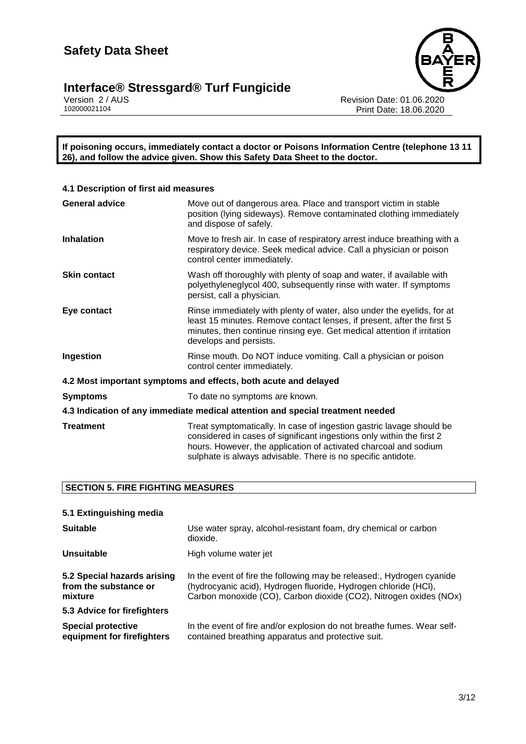# **Interface® Stressgard® Turf Fungicide <b>3/12**



Version 2 / AUS Revision Date: 01.06.2020 102000021104 Print Date: 18.06.2020

**If poisoning occurs, immediately contact a doctor or Poisons Information Centre (telephone 13 11 26), and follow the advice given. Show this Safety Data Sheet to the doctor.**

| 4.1 Description of first aid measures                                          |                                                                                                                                                                                                                                                                                   |  |
|--------------------------------------------------------------------------------|-----------------------------------------------------------------------------------------------------------------------------------------------------------------------------------------------------------------------------------------------------------------------------------|--|
| <b>General advice</b>                                                          | Move out of dangerous area. Place and transport victim in stable<br>position (lying sideways). Remove contaminated clothing immediately<br>and dispose of safely.                                                                                                                 |  |
| <b>Inhalation</b>                                                              | Move to fresh air. In case of respiratory arrest induce breathing with a<br>respiratory device. Seek medical advice. Call a physician or poison<br>control center immediately.                                                                                                    |  |
| <b>Skin contact</b>                                                            | Wash off thoroughly with plenty of soap and water, if available with<br>polyethyleneglycol 400, subsequently rinse with water. If symptoms<br>persist, call a physician.                                                                                                          |  |
| Eye contact                                                                    | Rinse immediately with plenty of water, also under the eyelids, for at<br>least 15 minutes. Remove contact lenses, if present, after the first 5<br>minutes, then continue rinsing eye. Get medical attention if irritation<br>develops and persists.                             |  |
| Ingestion                                                                      | Rinse mouth. Do NOT induce vomiting. Call a physician or poison<br>control center immediately.                                                                                                                                                                                    |  |
| 4.2 Most important symptoms and effects, both acute and delayed                |                                                                                                                                                                                                                                                                                   |  |
| <b>Symptoms</b>                                                                | To date no symptoms are known.                                                                                                                                                                                                                                                    |  |
| 4.3 Indication of any immediate medical attention and special treatment needed |                                                                                                                                                                                                                                                                                   |  |
| <b>Treatment</b>                                                               | Treat symptomatically. In case of ingestion gastric lavage should be<br>considered in cases of significant ingestions only within the first 2<br>hours. However, the application of activated charcoal and sodium<br>sulphate is always advisable. There is no specific antidote. |  |

# **SECTION 5. FIRE FIGHTING MEASURES**

| 5.1 Extinguishing media                                         |                                                                                                                                                                                                               |
|-----------------------------------------------------------------|---------------------------------------------------------------------------------------------------------------------------------------------------------------------------------------------------------------|
| <b>Suitable</b>                                                 | Use water spray, alcohol-resistant foam, dry chemical or carbon<br>dioxide.                                                                                                                                   |
| Unsuitable                                                      | High volume water jet                                                                                                                                                                                         |
| 5.2 Special hazards arising<br>from the substance or<br>mixture | In the event of fire the following may be released:, Hydrogen cyanide<br>(hydrocyanic acid), Hydrogen fluoride, Hydrogen chloride (HCI),<br>Carbon monoxide (CO), Carbon dioxide (CO2), Nitrogen oxides (NOx) |
| 5.3 Advice for firefighters                                     |                                                                                                                                                                                                               |
| <b>Special protective</b><br>equipment for firefighters         | In the event of fire and/or explosion do not breathe fumes. Wear self-<br>contained breathing apparatus and protective suit.                                                                                  |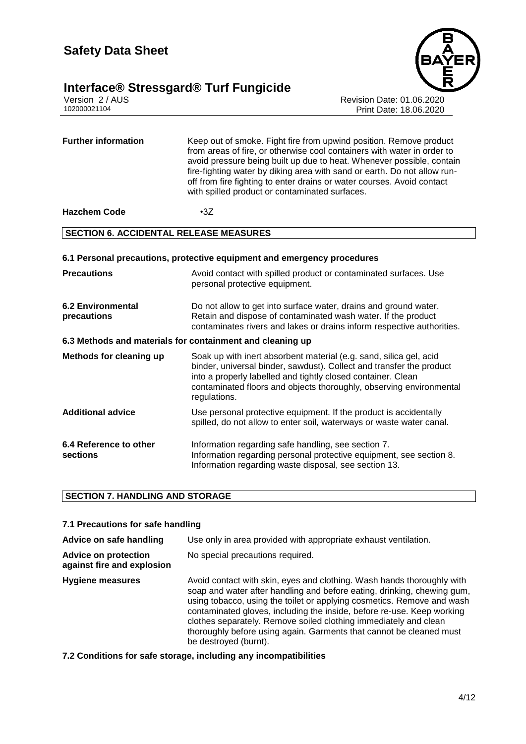# **Interface® Stressgard® Turf Fungicide 4/12**





Version 2 / AUS Revision Date: 01.06.2020 Print Date: 18.06.2020

| <b>Further information</b>                    | Keep out of smoke. Fight fire from upwind position. Remove product<br>from areas of fire, or otherwise cool containers with water in order to<br>avoid pressure being built up due to heat. Whenever possible, contain<br>fire-fighting water by diking area with sand or earth. Do not allow run-<br>off from fire fighting to enter drains or water courses. Avoid contact<br>with spilled product or contaminated surfaces. |  |
|-----------------------------------------------|--------------------------------------------------------------------------------------------------------------------------------------------------------------------------------------------------------------------------------------------------------------------------------------------------------------------------------------------------------------------------------------------------------------------------------|--|
| <b>Hazchem Code</b>                           | $-3Z$                                                                                                                                                                                                                                                                                                                                                                                                                          |  |
| <b>SECTION 6. ACCIDENTAL RELEASE MEASURES</b> |                                                                                                                                                                                                                                                                                                                                                                                                                                |  |
|                                               | 6.1 Personal precautions, protective equipment and emergency procedures                                                                                                                                                                                                                                                                                                                                                        |  |
| <b>Precautions</b>                            | Avoid contact with spilled product or contaminated surfaces. Use<br>personal protective equipment.                                                                                                                                                                                                                                                                                                                             |  |
| <b>6.2 Environmental</b><br>precautions       | Do not allow to get into surface water, drains and ground water.<br>Retain and dispose of contaminated wash water. If the product<br>contaminates rivers and lakes or drains inform respective authorities.                                                                                                                                                                                                                    |  |
|                                               | 6.3 Methods and materials for containment and cleaning up                                                                                                                                                                                                                                                                                                                                                                      |  |
| <b>Methods for cleaning up</b>                | Soak up with inert absorbent material (e.g. sand, silica gel, acid<br>binder, universal binder, sawdust). Collect and transfer the product<br>into a properly labelled and tightly closed container. Clean<br>contaminated floors and objects thoroughly, observing environmental<br>regulations.                                                                                                                              |  |
| <b>Additional advice</b>                      | Use personal protective equipment. If the product is accidentally<br>spilled, do not allow to enter soil, waterways or waste water canal.                                                                                                                                                                                                                                                                                      |  |
| 6.4 Reference to other<br>sections            | Information regarding safe handling, see section 7.<br>Information regarding personal protective equipment, see section 8.<br>Information regarding waste disposal, see section 13.                                                                                                                                                                                                                                            |  |

#### **SECTION 7. HANDLING AND STORAGE**

#### **7.1 Precautions for safe handling**

**Advice on safe handling** Use only in area provided with appropriate exhaust ventilation.

**Advice on protection against fire and explosion** No special precautions required.

**Hygiene measures** Avoid contact with skin, eyes and clothing. Wash hands thoroughly with soap and water after handling and before eating, drinking, chewing gum, using tobacco, using the toilet or applying cosmetics. Remove and wash contaminated gloves, including the inside, before re-use. Keep working clothes separately. Remove soiled clothing immediately and clean thoroughly before using again. Garments that cannot be cleaned must be destroyed (burnt).

**7.2 Conditions for safe storage, including any incompatibilities**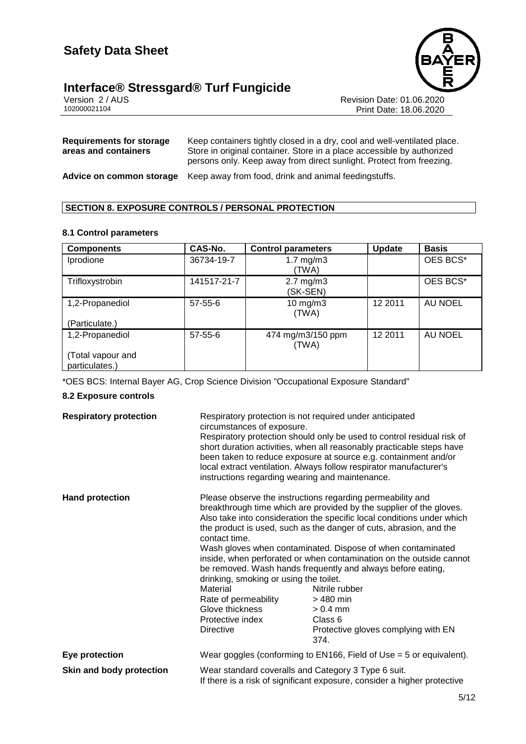# **Interface® Stressgard® Turf Fungicide** Version 2/AUS



Version 2 / AUS<br>102000021104<br>Print Date: 18.06.2020 Print Date: 18.06.2020

| <b>Requirements for storage</b><br>areas and containers | Keep containers tightly closed in a dry, cool and well-ventilated place.<br>Store in original container. Store in a place accessible by authorized<br>persons only. Keep away from direct sunlight. Protect from freezing. |
|---------------------------------------------------------|----------------------------------------------------------------------------------------------------------------------------------------------------------------------------------------------------------------------------|
| Advice on common storage                                | Keep away from food, drink and animal feedingstuffs.                                                                                                                                                                       |

## **SECTION 8. EXPOSURE CONTROLS / PERSONAL PROTECTION**

#### **8.1 Control parameters**

| <b>Components</b>                   | CAS-No.       | <b>Control parameters</b>        | <b>Update</b> | <b>Basis</b> |
|-------------------------------------|---------------|----------------------------------|---------------|--------------|
| Iprodione                           | 36734-19-7    | $1.7 \text{ mg/m}$ 3<br>(TWA)    |               | OES BCS*     |
| Trifloxystrobin                     | 141517-21-7   | $2.7 \text{ mg/m}$ 3<br>(SK-SEN) |               | OES BCS*     |
| 1,2-Propanediol                     | $57 - 55 - 6$ | $10$ mg/m $3$<br>(TWA)           | 12 2011       | AU NOEL      |
| (Particulate.)                      |               |                                  |               |              |
| 1,2-Propanediol                     | $57 - 55 - 6$ | 474 mg/m3/150 ppm<br>(TWA)       | 12 2011       | AU NOEL      |
| (Total vapour and<br>particulates.) |               |                                  |               |              |

\*OES BCS: Internal Bayer AG, Crop Science Division "Occupational Exposure Standard"

#### **8.2 Exposure controls**

| <b>Respiratory protection</b> | Respiratory protection is not required under anticipated<br>circumstances of exposure.<br>Respiratory protection should only be used to control residual risk of<br>short duration activities, when all reasonably practicable steps have<br>been taken to reduce exposure at source e.g. containment and/or<br>local extract ventilation. Always follow respirator manufacturer's<br>instructions regarding wearing and maintenance. |                                                                                                                                                                                                                                                                                                                                                                                                                                                                                                                                                                                                |
|-------------------------------|---------------------------------------------------------------------------------------------------------------------------------------------------------------------------------------------------------------------------------------------------------------------------------------------------------------------------------------------------------------------------------------------------------------------------------------|------------------------------------------------------------------------------------------------------------------------------------------------------------------------------------------------------------------------------------------------------------------------------------------------------------------------------------------------------------------------------------------------------------------------------------------------------------------------------------------------------------------------------------------------------------------------------------------------|
| <b>Hand protection</b>        | contact time.<br>drinking, smoking or using the toilet.<br>Material<br>Rate of permeability<br>Glove thickness<br>Protective index<br><b>Directive</b>                                                                                                                                                                                                                                                                                | Please observe the instructions regarding permeability and<br>breakthrough time which are provided by the supplier of the gloves.<br>Also take into consideration the specific local conditions under which<br>the product is used, such as the danger of cuts, abrasion, and the<br>Wash gloves when contaminated. Dispose of when contaminated<br>inside, when perforated or when contamination on the outside cannot<br>be removed. Wash hands frequently and always before eating,<br>Nitrile rubber<br>$>480$ min<br>$> 0.4$ mm<br>Class 6<br>Protective gloves complying with EN<br>374. |
| Eye protection                | Wear goggles (conforming to $EN166$ , Field of Use = 5 or equivalent).                                                                                                                                                                                                                                                                                                                                                                |                                                                                                                                                                                                                                                                                                                                                                                                                                                                                                                                                                                                |
| Skin and body protection      | Wear standard coveralls and Category 3 Type 6 suit.<br>If there is a risk of significant exposure, consider a higher protective                                                                                                                                                                                                                                                                                                       |                                                                                                                                                                                                                                                                                                                                                                                                                                                                                                                                                                                                |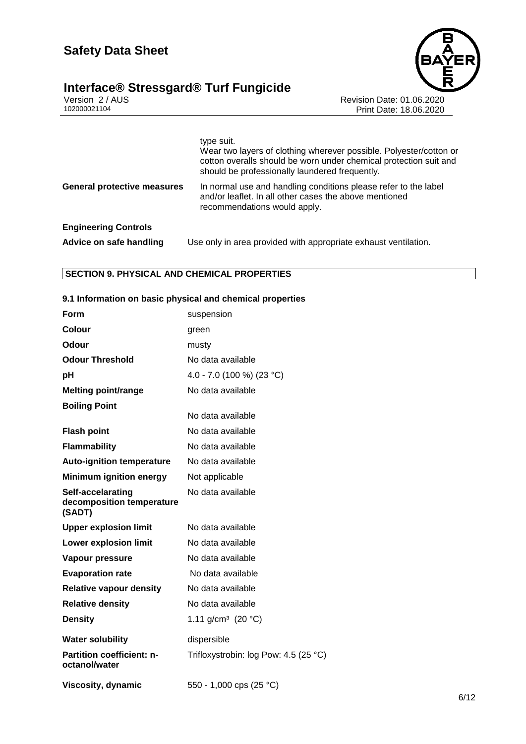# **Interface® Stressgard® Turf Fungicide <b>6/12**



Version 2 / AUS Revision Date: 01.06.2020 102000021104 Print Date: 18.06.2020

|                                    | type suit.<br>Wear two layers of clothing wherever possible. Polyester/cotton or<br>cotton overalls should be worn under chemical protection suit and<br>should be professionally laundered frequently. |
|------------------------------------|---------------------------------------------------------------------------------------------------------------------------------------------------------------------------------------------------------|
| <b>General protective measures</b> | In normal use and handling conditions please refer to the label<br>and/or leaflet. In all other cases the above mentioned<br>recommendations would apply.                                               |
| <b>Engineering Controls</b>        |                                                                                                                                                                                                         |
| Advice on safe handling            | Use only in area provided with appropriate exhaust ventilation.                                                                                                                                         |

## **SECTION 9. PHYSICAL AND CHEMICAL PROPERTIES**

## **9.1 Information on basic physical and chemical properties**

| Form                                                     | suspension                            |
|----------------------------------------------------------|---------------------------------------|
| Colour                                                   | green                                 |
| Odour                                                    | musty                                 |
| <b>Odour Threshold</b>                                   | No data available                     |
| рH                                                       | 4.0 - 7.0 (100 %) (23 °C)             |
| <b>Melting point/range</b>                               | No data available                     |
| <b>Boiling Point</b>                                     |                                       |
|                                                          | No data available                     |
| <b>Flash point</b>                                       | No data available                     |
| <b>Flammability</b>                                      | No data available                     |
| <b>Auto-ignition temperature</b>                         | No data available                     |
| <b>Minimum ignition energy</b>                           | Not applicable                        |
| Self-accelarating<br>decomposition temperature<br>(SADT) | No data available                     |
| <b>Upper explosion limit</b>                             | No data available                     |
| <b>Lower explosion limit</b>                             | No data available                     |
| Vapour pressure                                          | No data available                     |
| <b>Evaporation rate</b>                                  | No data available                     |
| <b>Relative vapour density</b>                           | No data available                     |
| <b>Relative density</b>                                  | No data available                     |
| <b>Density</b>                                           | 1.11 g/cm <sup>3</sup> (20 °C)        |
| <b>Water solubility</b>                                  | dispersible                           |
| <b>Partition coefficient: n-</b><br>octanol/water        | Trifloxystrobin: log Pow: 4.5 (25 °C) |
| Viscosity, dynamic                                       | 550 - 1,000 cps (25 °C)               |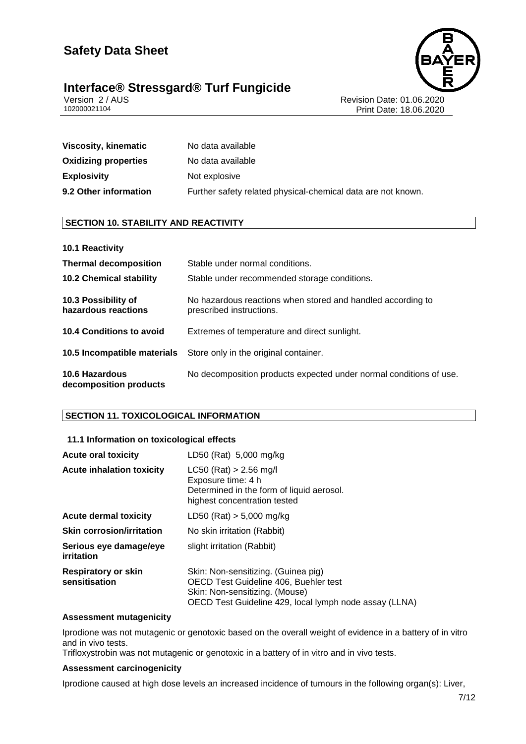



Version 2 / AUS Revision Date: 01.06.2020 Print Date: 18.06.2020

| Viscosity, kinematic        | No data available                                            |
|-----------------------------|--------------------------------------------------------------|
| <b>Oxidizing properties</b> | No data available                                            |
| <b>Explosivity</b>          | Not explosive                                                |
| 9.2 Other information       | Further safety related physical-chemical data are not known. |

## **SECTION 10. STABILITY AND REACTIVITY**

| 10.1 Reactivity                            |                                                                                         |
|--------------------------------------------|-----------------------------------------------------------------------------------------|
| <b>Thermal decomposition</b>               | Stable under normal conditions.                                                         |
| <b>10.2 Chemical stability</b>             | Stable under recommended storage conditions.                                            |
| 10.3 Possibility of<br>hazardous reactions | No hazardous reactions when stored and handled according to<br>prescribed instructions. |
| <b>10.4 Conditions to avoid</b>            | Extremes of temperature and direct sunlight.                                            |
|                                            | <b>10.5 Incompatible materials</b> Store only in the original container.                |
| 10.6 Hazardous<br>decomposition products   | No decomposition products expected under normal conditions of use.                      |

# **SECTION 11. TOXICOLOGICAL INFORMATION**

#### **11.1 Information on toxicological effects**

| <b>Acute oral toxicity</b>                  | LD50 (Rat) 5,000 mg/kg                                                                                                                                                   |
|---------------------------------------------|--------------------------------------------------------------------------------------------------------------------------------------------------------------------------|
| <b>Acute inhalation toxicity</b>            | $LC50$ (Rat) > 2.56 mg/l<br>Exposure time: 4 h<br>Determined in the form of liquid aerosol.<br>highest concentration tested                                              |
| Acute dermal toxicity                       | $LD50$ (Rat) $> 5,000$ mg/kg                                                                                                                                             |
| <b>Skin corrosion/irritation</b>            | No skin irritation (Rabbit)                                                                                                                                              |
| Serious eye damage/eye<br>irritation        | slight irritation (Rabbit)                                                                                                                                               |
| <b>Respiratory or skin</b><br>sensitisation | Skin: Non-sensitizing. (Guinea pig)<br>OECD Test Guideline 406, Buehler test<br>Skin: Non-sensitizing. (Mouse)<br>OECD Test Guideline 429, local lymph node assay (LLNA) |

#### **Assessment mutagenicity**

Iprodione was not mutagenic or genotoxic based on the overall weight of evidence in a battery of in vitro and in vivo tests.

Trifloxystrobin was not mutagenic or genotoxic in a battery of in vitro and in vivo tests.

#### **Assessment carcinogenicity**

Iprodione caused at high dose levels an increased incidence of tumours in the following organ(s): Liver,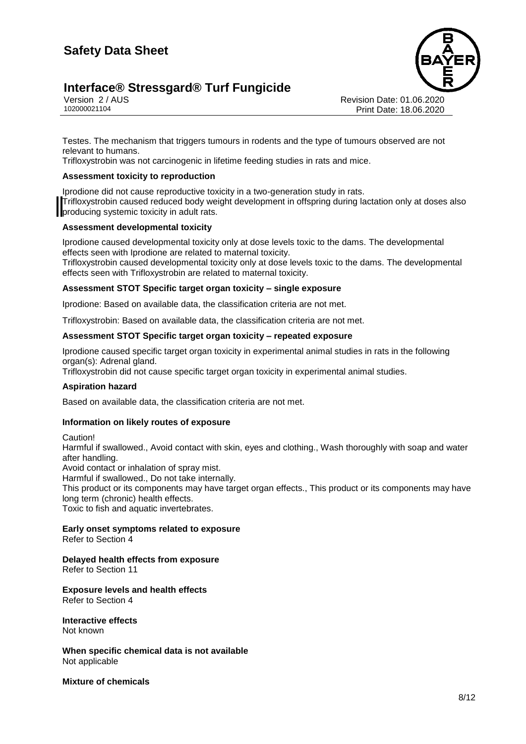# **Interface® Stressgard® Turf Fungicide 8/12**



Version 2 / AUS Revision Date: 01.06.2020 Print Date: 18.06.2020

Testes. The mechanism that triggers tumours in rodents and the type of tumours observed are not relevant to humans.

Trifloxystrobin was not carcinogenic in lifetime feeding studies in rats and mice.

#### **Assessment toxicity to reproduction**

Iprodione did not cause reproductive toxicity in a two-generation study in rats. Trifloxystrobin caused reduced body weight development in offspring during lactation only at doses also **producing systemic toxicity in adult rats.** 

#### **Assessment developmental toxicity**

Iprodione caused developmental toxicity only at dose levels toxic to the dams. The developmental effects seen with Iprodione are related to maternal toxicity. Trifloxystrobin caused developmental toxicity only at dose levels toxic to the dams. The developmental effects seen with Trifloxystrobin are related to maternal toxicity.

#### **Assessment STOT Specific target organ toxicity – single exposure**

Iprodione: Based on available data, the classification criteria are not met.

Trifloxystrobin: Based on available data, the classification criteria are not met.

#### **Assessment STOT Specific target organ toxicity – repeated exposure**

Iprodione caused specific target organ toxicity in experimental animal studies in rats in the following organ(s): Adrenal gland.

Trifloxystrobin did not cause specific target organ toxicity in experimental animal studies.

#### **Aspiration hazard**

Based on available data, the classification criteria are not met.

#### **Information on likely routes of exposure**

Caution!

Harmful if swallowed., Avoid contact with skin, eyes and clothing., Wash thoroughly with soap and water after handling.

Avoid contact or inhalation of spray mist.

Harmful if swallowed., Do not take internally.

This product or its components may have target organ effects., This product or its components may have long term (chronic) health effects.

Toxic to fish and aquatic invertebrates.

# **Early onset symptoms related to exposure**

Refer to Section 4

# **Delayed health effects from exposure**

Refer to Section 11

#### **Exposure levels and health effects** Refer to Section 4

**Interactive effects** Not known

**When specific chemical data is not available** Not applicable

**Mixture of chemicals**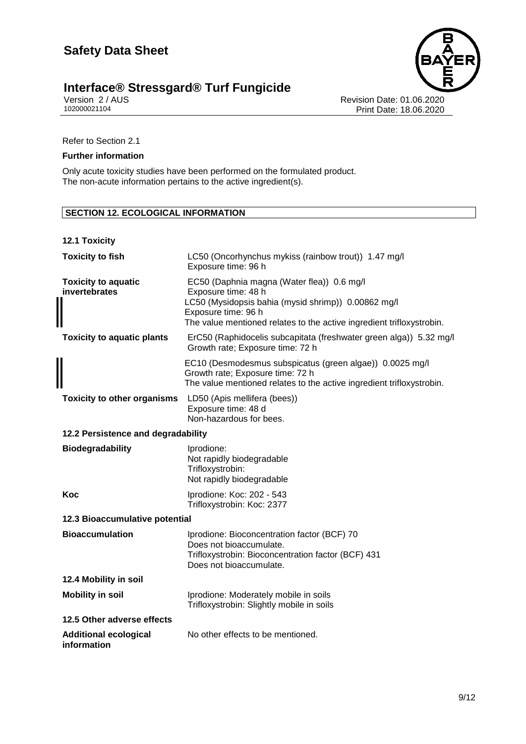# **Interface® Stressgard® Turf Fungicide <b>9/12**

Version 2 / AUS Revision Date: 01.06.2020 102000021104 Print Date: 18.06.2020

Refer to Section 2.1

#### **Further information**

Only acute toxicity studies have been performed on the formulated product. The non-acute information pertains to the active ingredient(s).

## **SECTION 12. ECOLOGICAL INFORMATION**

| 12.1 Toxicity                               |                                                                                                                                                                                                                          |  |
|---------------------------------------------|--------------------------------------------------------------------------------------------------------------------------------------------------------------------------------------------------------------------------|--|
| <b>Toxicity to fish</b>                     | LC50 (Oncorhynchus mykiss (rainbow trout)) 1.47 mg/l<br>Exposure time: 96 h                                                                                                                                              |  |
| <b>Toxicity to aquatic</b><br>invertebrates | EC50 (Daphnia magna (Water flea)) 0.6 mg/l<br>Exposure time: 48 h<br>LC50 (Mysidopsis bahia (mysid shrimp)) 0.00862 mg/l<br>Exposure time: 96 h<br>The value mentioned relates to the active ingredient trifloxystrobin. |  |
| <b>Toxicity to aquatic plants</b>           | ErC50 (Raphidocelis subcapitata (freshwater green alga)) 5.32 mg/l<br>Growth rate; Exposure time: 72 h                                                                                                                   |  |
|                                             | EC10 (Desmodesmus subspicatus (green algae)) 0.0025 mg/l<br>Growth rate; Exposure time: 72 h<br>The value mentioned relates to the active ingredient trifloxystrobin.                                                    |  |
| <b>Toxicity to other organisms</b>          | LD50 (Apis mellifera (bees))<br>Exposure time: 48 d<br>Non-hazardous for bees.                                                                                                                                           |  |
| 12.2 Persistence and degradability          |                                                                                                                                                                                                                          |  |
| <b>Biodegradability</b>                     | Iprodione:<br>Not rapidly biodegradable<br>Trifloxystrobin:<br>Not rapidly biodegradable                                                                                                                                 |  |
| Koc                                         | Iprodione: Koc: 202 - 543<br>Trifloxystrobin: Koc: 2377                                                                                                                                                                  |  |
| 12.3 Bioaccumulative potential              |                                                                                                                                                                                                                          |  |
| <b>Bioaccumulation</b>                      | Iprodione: Bioconcentration factor (BCF) 70<br>Does not bioaccumulate.<br>Trifloxystrobin: Bioconcentration factor (BCF) 431<br>Does not bioaccumulate.                                                                  |  |
| 12.4 Mobility in soil                       |                                                                                                                                                                                                                          |  |
| <b>Mobility in soil</b>                     | Iprodione: Moderately mobile in soils<br>Trifloxystrobin: Slightly mobile in soils                                                                                                                                       |  |
| 12.5 Other adverse effects                  |                                                                                                                                                                                                                          |  |
| <b>Additional ecological</b><br>information | No other effects to be mentioned.                                                                                                                                                                                        |  |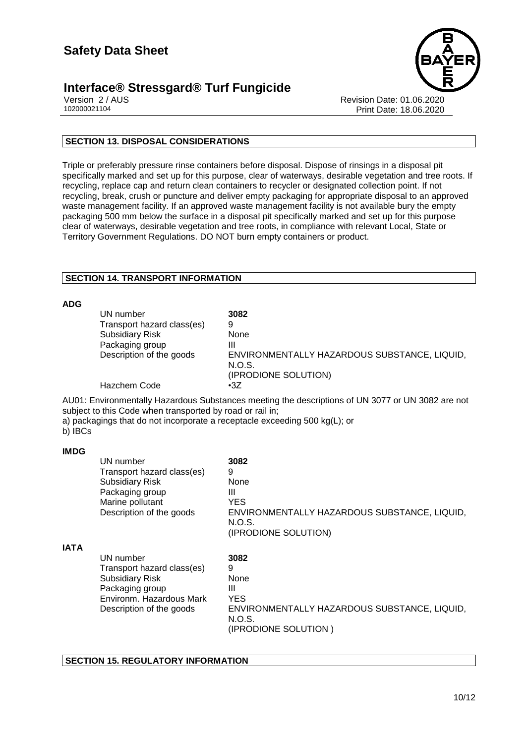# **Interface® Stressgard® Turf Fungicide**



Version 2 / AUS Revision Date: 01.06.2020 Print Date: 18.06.2020

# **SECTION 13. DISPOSAL CONSIDERATIONS**

Triple or preferably pressure rinse containers before disposal. Dispose of rinsings in a disposal pit specifically marked and set up for this purpose, clear of waterways, desirable vegetation and tree roots. If recycling, replace cap and return clean containers to recycler or designated collection point. If not recycling, break, crush or puncture and deliver empty packaging for appropriate disposal to an approved waste management facility. If an approved waste management facility is not available bury the empty packaging 500 mm below the surface in a disposal pit specifically marked and set up for this purpose clear of waterways, desirable vegetation and tree roots, in compliance with relevant Local, State or Territory Government Regulations. DO NOT burn empty containers or product.

## **SECTION 14. TRANSPORT INFORMATION**

#### **ADG**

| ADJ.    |                                                           |                                                                                                                                                                                 |
|---------|-----------------------------------------------------------|---------------------------------------------------------------------------------------------------------------------------------------------------------------------------------|
|         | UN number                                                 | 3082                                                                                                                                                                            |
|         | Transport hazard class(es)                                | 9                                                                                                                                                                               |
|         | <b>Subsidiary Risk</b>                                    | None                                                                                                                                                                            |
|         | Packaging group                                           | Ш                                                                                                                                                                               |
|         | Description of the goods                                  | ENVIRONMENTALLY HAZARDOUS SUBSTANCE, LIQUID,<br>N.O.S.                                                                                                                          |
|         |                                                           | (IPRODIONE SOLUTION)                                                                                                                                                            |
|         | Hazchem Code                                              | $\cdot$ 3Z                                                                                                                                                                      |
| b) IBCs | subject to this Code when transported by road or rail in; | AU01: Environmentally Hazardous Substances meeting the descriptions of UN 3077 or UN 3082 are not<br>a) packagings that do not incorporate a receptacle exceeding 500 kg(L); or |

#### **IMDG**

|             | UN number<br>Transport hazard class(es)<br><b>Subsidiary Risk</b><br>Packaging group<br>Marine pollutant<br>Description of the goods         | 3082<br>9<br>None<br>Ш<br>YES<br>ENVIRONMENTALLY HAZARDOUS SUBSTANCE, LIQUID,<br>N.O.S.<br>(IPRODIONE SOLUTION) |
|-------------|----------------------------------------------------------------------------------------------------------------------------------------------|-----------------------------------------------------------------------------------------------------------------|
| <b>IATA</b> | UN number<br>Transport hazard class(es)<br><b>Subsidiary Risk</b><br>Packaging group<br>Environm. Hazardous Mark<br>Description of the goods | 3082<br>9<br>None<br>Ш<br>YES<br>ENVIRONMENTALLY HAZARDOUS SUBSTANCE, LIQUID,<br>N.O.S.<br>(IPRODIONE SOLUTION) |

#### **SECTION 15. REGULATORY INFORMATION**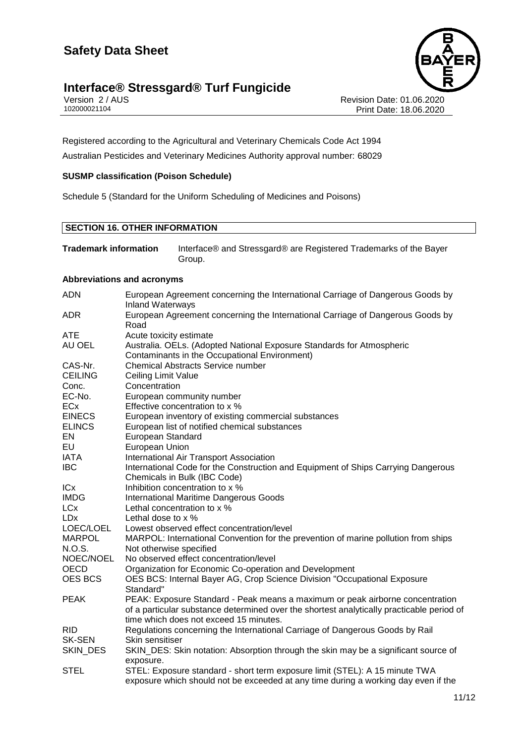# **Interface® Stressgard® Turf Fungicide** Version 2/AUS



Version 2 / AUS Revision Date: 01.06.2020 Print Date: 18.06.2020

Registered according to the Agricultural and Veterinary Chemicals Code Act 1994 Australian Pesticides and Veterinary Medicines Authority approval number: 68029

## **SUSMP classification (Poison Schedule)**

Schedule 5 (Standard for the Uniform Scheduling of Medicines and Poisons)

# **SECTION 16. OTHER INFORMATION**

**Trademark information** Interface® and Stressgard® are Registered Trademarks of the Bayer Group.

#### **Abbreviations and acronyms**

| <b>ADN</b>     | European Agreement concerning the International Carriage of Dangerous Goods by<br><b>Inland Waterways</b>                                                                  |
|----------------|----------------------------------------------------------------------------------------------------------------------------------------------------------------------------|
| <b>ADR</b>     | European Agreement concerning the International Carriage of Dangerous Goods by<br>Road                                                                                     |
| <b>ATE</b>     | Acute toxicity estimate                                                                                                                                                    |
| AU OEL         | Australia. OELs. (Adopted National Exposure Standards for Atmospheric<br>Contaminants in the Occupational Environment)                                                     |
| CAS-Nr.        | <b>Chemical Abstracts Service number</b>                                                                                                                                   |
| <b>CEILING</b> | <b>Ceiling Limit Value</b>                                                                                                                                                 |
| Conc.          | Concentration                                                                                                                                                              |
| EC-No.         | European community number                                                                                                                                                  |
| ECx            | Effective concentration to x %                                                                                                                                             |
| <b>EINECS</b>  | European inventory of existing commercial substances                                                                                                                       |
| <b>ELINCS</b>  | European list of notified chemical substances                                                                                                                              |
| EN             | European Standard                                                                                                                                                          |
| EU             | European Union                                                                                                                                                             |
| <b>IATA</b>    | International Air Transport Association                                                                                                                                    |
| <b>IBC</b>     | International Code for the Construction and Equipment of Ships Carrying Dangerous                                                                                          |
|                | Chemicals in Bulk (IBC Code)                                                                                                                                               |
| ICx            | Inhibition concentration to x %                                                                                                                                            |
| <b>IMDG</b>    | International Maritime Dangerous Goods                                                                                                                                     |
| <b>LCx</b>     | Lethal concentration to x %                                                                                                                                                |
| <b>LDx</b>     | Lethal dose to x %                                                                                                                                                         |
| LOEC/LOEL      | Lowest observed effect concentration/level                                                                                                                                 |
| <b>MARPOL</b>  | MARPOL: International Convention for the prevention of marine pollution from ships                                                                                         |
| N.O.S.         | Not otherwise specified                                                                                                                                                    |
| NOEC/NOEL      | No observed effect concentration/level                                                                                                                                     |
| OECD           | Organization for Economic Co-operation and Development                                                                                                                     |
| <b>OES BCS</b> | OES BCS: Internal Bayer AG, Crop Science Division "Occupational Exposure<br>Standard"                                                                                      |
| <b>PEAK</b>    | PEAK: Exposure Standard - Peak means a maximum or peak airborne concentration<br>of a particular substance determined over the shortest analytically practicable period of |
|                | time which does not exceed 15 minutes.                                                                                                                                     |
| <b>RID</b>     | Regulations concerning the International Carriage of Dangerous Goods by Rail                                                                                               |
| <b>SK-SEN</b>  | Skin sensitiser                                                                                                                                                            |
| SKIN_DES       | SKIN_DES: Skin notation: Absorption through the skin may be a significant source of                                                                                        |
|                | exposure.                                                                                                                                                                  |
| <b>STEL</b>    | STEL: Exposure standard - short term exposure limit (STEL): A 15 minute TWA                                                                                                |
|                | exposure which should not be exceeded at any time during a working day even if the                                                                                         |